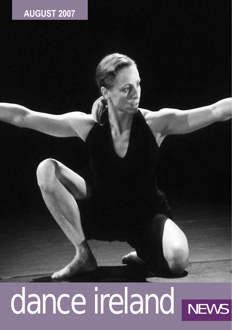## **AUGUST 2007**

# dance ireland NEWS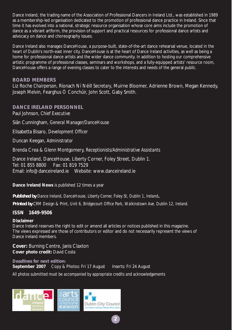Dance Ireland, the trading name of the Association of Professional Dancers in Ireland Ltd., was established in 1989 as a membership-led organisation dedicated to the promotion of professional dance practice in Ireland. Since that time it has evolved into a national, strategic resource organisation whose core aims include the promotion of dance as a vibrant artform, the provision of support and practical resources for professional dance artists and advocacy on dance and choreography issues.

Dance Ireland also manages DanceHouse, a purpose-built, state-of-the-art dance rehearsal venue, located in the heart of Dublin's north-east inner city. DanceHouse is at the heart of Dance Ireland activities, as well as being a home for professional dance artists and the wider dance community. In addition to hosting our comprehensive artistic programme of professional classes, seminars and workshops, and a fully-equipped artists' resource room, DanceHouse offers a range of evening classes to cater to the interests and needs of the general public.

#### **BOARD MEMBERS**

Liz Roche *Chairperson*, Ríonach Ní Néill *Secretary*, Muirne Bloomer, Adrienne Brown, Megan Kennedy, Joseph Melvin, Fearghus Ó Conchúir, John Scott, Gaby Smith.

**DANCE IRELAND PERSONNEL** Paul Johnson, *Chief Executive*

Siân Cunningham, *General Manager/DanceHouse* 

Elisabetta Bisaro, *Development Officer*

Duncan Keegan, *Administrator* 

Brenda Crea & Glenn Montgomery, *Receptionists/Administrative Assistants* 

Dance Ireland, DanceHouse, Liberty Corner, Foley Street, Dublin 1. Tel: 01 855 8800 Fax: 01 819 7529 Email: info@danceireland.ie Website: www.danceireland.ie

**Dance Ireland News** is published 12 times a year

*Published by Dance Ireland, DanceHouse, Liberty Corner, Foley St, Dublin 1, Ireland.*

*Printed by CRM Design & Print, Unit 6, Bridgecourt Office Park, Walkinstown Ave. Dublin 12, Ireland.*

#### **ISSN 1649-9506**

#### **Disclaimer**

Dance Ireland reserves the right to edit or amend all articles or notices published in this magazine. The views expressed are those of contributors or editor and do not necessarily represent the views of Dance Ireland members.

**2**

**Cover:** Burning Centre, Janis Claxton **Cover photo credit:** David Costa

**Deadlines for next edition: September 2007** Copy & Photos: Fri 17 August Inserts: Fri 24 August *All photos submitted must be accompanied by appropriate credits and acknowledgements*

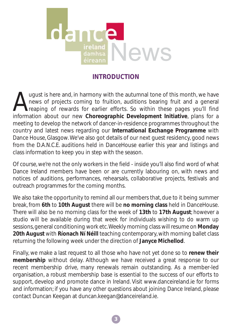

## **INTRODUCTION**

August is here and, in harmony with the autumnal tone of this month, we have<br>heavy of projects coming to fruition, auditions bearing fruit and a general<br>reaping of rewards for earlier efforts. So within these pages you'll news of projects coming to fruition, auditions bearing fruit and a general reaping of rewards for earlier efforts. So within these pages you'll find information about our new **Choreographic Development Initiative**, plans for a meeting to develop the network of dancer-in-residence programmes throughout the country and latest news regarding our **International Exchange Programme** with Dance House, Glasgow. We've also got details of our next guest residency, good news from the D.A.N.C.E. auditions held in DanceHouse earlier this year and listings and class information to keep you in step with the season.

Of course, we're not the only workers in the field - inside you'll also find word of what Dance Ireland members have been or are currently labouring on, with news and notices of auditions, performances, rehearsals, collaborative projects, festivals and outreach programmes for the coming months.

We also take the opportunity to remind all our members that, due to it being summer break, from **6th** to **10th August** there will be **no morning class** held in DanceHouse. There will also be no morning class for the week of **13th** to **17th August**; however a studio will be available during that week for individuals wishing to do warm up sessions, general conditioning work etc.Weekly morning class will resume on **Monday 20th August** with **Ríonach Ní Néill** teaching contemporary, with morning ballet class returning the following week under the direction of **Janyce Michellod**.

Finally, we make a last request to all those who have not yet done so to **renew their membership** without delay. Although we have received a great response to our recent membership drive, many renewals remain outstanding. As a member-led organisation, a robust membership base is essential to the success of our efforts to support, develop and promote dance in Ireland. Visit www.danceireland.ie for forms and information; if you have any other questions about joining Dance Ireland, please contact Duncan Keegan at duncan.keegan@danceireland.ie.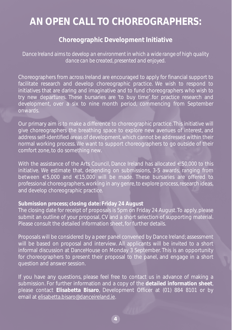## **AN OPEN CALL TO CHOREOGRAPHERS:**

## **Choreographic Development Initiative**

*Dance Ireland aims to develop an environment in which a wide range of high quality dance can be created, presented and enjoyed.*

Choreographers from across Ireland are encouraged to apply for financial support to facilitate research and develop choreographic practice. We wish to respond to initiatives that are daring and imaginative and to fund choreographers who wish to try new departures. These bursaries are 'to buy time' for practice research and development, over a six to nine month period, commencing from September onwards.

Our primary aim is to make a difference to choreographic practice. This initiative will give choreographers the breathing space to explore new avenues of interest, and address self-identified areas of development, which cannot be addressed within their normal working process. We want to support choreographers to go outside of their comfort zone, to do something new.

With the assistance of the Arts Council, Dance Ireland has allocated €50,000 to this initiative. We estimate that, depending on submissions, 3-5 awards, ranging from between €5,000 and €15,000 will be made. These bursaries are offered to professional choreographers, working in any genre, to explore process, research ideas, and develop choreographic practice.

## **Submission process; closing date: Friday 24 August**

The closing date for receipt of proposals is 5pm on Friday 24 August. To apply, please submit an outline of your proposal, CV and a short selection of supporting material. Please consult the detailed information sheet, for further details.

Proposals will be considered by a peer panel convened by Dance Ireland; assessment will be based on proposal and interview. All applicants will be invited to a short informal discussion at DanceHouse on Monday 3 September. This is an opportunity for choreographers to present their proposal to the panel, and engage in a short question and answer session.

If you have any questions, please feel free to contact us in advance of making a submission. For further information and a copy of the **detailed information sheet**, please contact **Elisabetta Bisaro**, Development Officer at (01) 884 8101 or by email at elisabetta.bisaro@danceireland.ie.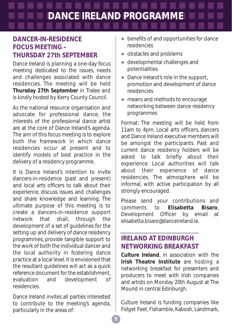## **DANCE IRELAND PROGRAMME**

## **DANCER-IN-RESIDENCE FOCUS MEETING – THURSDAY 27th SEPTEMBER**

Dance Ireland is planning a one-day focus meeting dedicated to the issues, needs and challenges associated with dance residencies. The meeting will be held Thursday 27th September in Tralee and is kindly hosted by Kerry County Council.

As the national resource organisation and advocate for professional dance, the interests of the professional dance artist are at the core of Dance Ireland's agenda. The aim of this focus meeting is to explore both the framework in which dance residencies occur at present and to identify models of best practice in the delivery of a residency programme.

It is Dance Ireland's intention to invite dancers-in-residence (past and present) and local arts officers to talk about their experience, discuss issues and challenges and share knowledge and learning. The ultimate purpose of this meeting is to create a dancers-in-residence support network that shall, through the development of a set of guidelines for the setting up and delivery of dance residency programmes, provide tangible support to the work of both the individual dancer and the local authority in fostering dance practice at a local level. It is envisioned that the resultant guidelines will act as a quick reference document for the establishment, evaluation and development of residencies.

Dance Ireland invites all parties interested to contribute to the meeting's agenda, particularly in the areas of:

- $\bullet$  benefits of and opportunities for dance residencies
- obstacles and problems
- $\bullet$  developmental challenges and potentialities
- $\bullet$  Dance Ireland's role in the support, promotion and development of dance residencies
- means and methods to encourage networking between dance residency programmes

Format: The meeting will be held from 11am to 4pm. Local arts officers, dancers and Dance Ireland executive members will be amongst the participants. Past and current dance residency holders will be asked to talk briefly about their experience. Local authorities will talk about their experience of dance residencies. The atmosphere will be informal, with active participation by all strongly encouraged.

Please send your contributions and comments to **Elisabetta Bisaro**, Development Officer by email at elisabetta.bisaro@danceireland.ie.

## **IRELAND AT EDINBURGH NETWORKING BREAKFAST**

**Culture Ireland**, in association with the **Irish Theatre Institute** are hosting a networking breakfast for presenters and producers to meet with Irish companies and artists on Monday 20th August at The Mound in central Edinburgh.

Culture Ireland is funding companies like Fidget Feet, Fishamble, Kabosh, Landmark,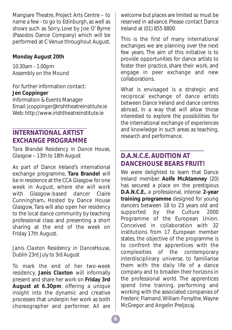Mangiare Theatre, Project Arts Centre – to name a few - to go to Edinburgh, as well as shows such as *Sorry, Love* by Joe O' Byrne (Pasodos Dance Company) which will be performed at C Venue throughout August.

### **Monday August 20th**

10.30am - 1.00pm Assembly on the Mound

For further information contact: **Jen Coppinger** Information & Events Manager Email: jcoppinger@irishtheatreinstitute.ie Web: http://www.irishtheatreinstitute.ie

## **INTERNATIONAL ARTIST EXCHANGE PROGRAMME**

*Tara Brandel Residency in Dance House, Glasgow – 13th to 18th August*

As part of Dance Ireland's international exchange programme, **Tara Brandel** will be in residence at the CCA Glasgow for one week in August, where she will work with Glasgow-based dancer Claire Cunningham**.** Hosted by Dance House Glasgow, Tara will also open her residency to the local dance community by teaching professional class and presenting a short sharing at the end of the week on Friday 17th August.

### *Janis Claxton Residency in DanceHouse, Dublin 23rd July to 3rd August*

To mark the end of her two-week residency, **Janis Claxton** will informally present and share her work on **Friday 3rd August at 6.30pm**, offering a unique insight into the dynamic and creative processes that underpin her work as both choreographer and performer. All are welcome but places are limited so must be reserved in advance. Please contact Dance Ireland at (01) 855 8800

This is the first of many international exchanges we are planning over the next few years. The aim of this initiative is to provide opportunities for dance artists to foster their practice, share their work, and engage in peer exchange and new collaborations.

What is envisaged is a strategic and reciprocal exchange of dance artists between Dance Ireland and dance centres abroad, in a way that will allow those interested to explore the possibilities for the international exchange of experiences and knowledge in such areas as teaching, research and performance.

## **D.A.N.C.E. AUDITION AT DANCEHOUSE BEARS FRUIT!**

We were delighted to learn that Dance Ireland member **Aoife McAtamney** (20) has secured a place on the prestigious **D.A.N.C.E.**, a professional, intense **2-year training programme** designed for young dancers between 18 to 23 years old and supported by the Culture 2000 Programme of the European Union. Conceived in collaboration with 32 institutions from 17 European member states, the objective of the programme is to confront the apprentices with the complexities of the contemporary interdisciplinary universe, to familiarise them with the daily life of a dance company and to broaden their horizons in the professional world. The apprentices spend time training, performing and working with the associated companies of Frederic Flamand, William Forsythe, Wayne McGregor and Angelin Preljocaj*.*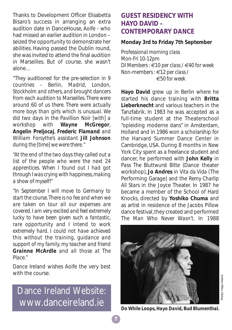Thanks to Development Officer Elisabetta Bisaro's success in arranging an extra audition date in DanceHouse, Aoife - who had missed an earlier audition in London – seized the opportunity to demonstrate her abilities. Having passed the Dublin round, she was invited to attend the final audition in Marseilles. But of course, she wasn't alone…

*"They auditioned for the pre-selection in 9 countries - Berlin, Madrid, London, Stockholm and others, and brought dancers from each audition to Marseilles. There were around 60 of us there. There were actually more boys than girls which is unusual. We did two days in the Pavillion Noir [with] a workshop with Wayne McGregor, Angelin Preljocaj, Frederic Flamand and William Forsythe's assistant Jill Johnson during the [time] we were there."*

*"At the end of the two days they called out a list of the people who were the next 24 apprentices. When I found out I had got through I was crying with happiness, making a show of myself!"*

*"In September I will move to Germany to start the course. There is no fee and when we are taken on tour all our expenses are covered. I am very excited and feel extremely lucky to have been given such a fantastic, rare opportunity and I intend to work extremely hard. I could not have achieved this without the training, guidance and support of my family, my teacher and friend Grainne McArdle and all those at The Place."*

Dance Ireland wishes Aoife the very best with the course.

Dance Ireland Website: www.danceireland.ie

## **GUEST RESIDENCY WITH HAYO DAVID – CONTEMPORARY DANCE**

#### **Monday 3rd to Friday 7th September**

*Professional morning class Mon-Fri 10-12pm DI Members : €10 per class / €40 for week Non-members : €12 per class / €50 for week*

**Hayo David** grew up in Berlin where he started his dance training with **Britta Lieberknecht** and various teachers in the Tanzfabrik. In 1983 he was accepted as a full-time student at the Theaterschool "opleiding moderne dans" in Amsterdam, Holland and in 1986 won a scholarship for the Harvard Summer Dance Center in Cambridge, USA. During 8 months in New York City spent as a freelance student and dancer, he performed with **John Kelly** in *Pass The Bluttwurst Bitte* (Dance theater workshop), **Jo Andres** in *Vita da Vida* (The Performing Garage) and the *Remy Charlip All Stars* in the Joyce Theater. In 1987 he became a member of the School of Hard Knocks, directed by **Yoshiko Chuma** and as artist in residence of the Jacobs Pillow dance festival, they created and performed *The Man Who Never Wasn't*. In 1988



*Photo:* Hayo David

*Do While Loops, Hayo David, Bud Blumenthal.*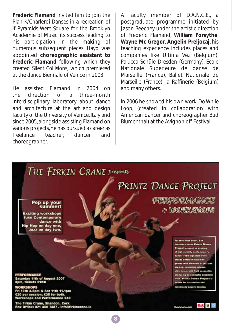**Frederic Flamand** invited him to join the Plan-K/Charleroi-Danses in a recreation of *If Pyramids Were Square* for the Brooklyn Academie of Music, its success leading to his participation in the making of numerous subsequent pieces. Hayo was appointed **choreographic assistant to Frederic Flamand** following which they created *Silent Collisions,* which premiered at the dance Biennale of Venice in 2003.

He assisted Flamand in 2004 on the direction of a three-month interdisciplinary laboratory about dance and architecture at the art and design faculty of the University of Venice, Italy and since 2005, alongside assisting Flamand on various projects, he has pursued a career as freelance teacher, dancer and choreographer.

A faculty member of D.A.N.C.E., a postgraduate programme initiated by Jason Beechey under the artistic direction of Frederic Flamand, **William Forsythe**, **Wayne Mc Gregor**, **Angelin Preljocaj**, his teaching experience includes places and companies like Ultima Vez (Belgium), Palucca Schüle Dresden (Germany), Ecole Nationale Superieure de danse de Marseille (France), Ballet Nationale de Marseille (France), la Raffinerie (Belgium) and many others.

In 2006 he showed his own work, *Do While Loop,* (created in collaboration with American dancer and choreographer Bud Blumenthal) at the Avignon off Festival.

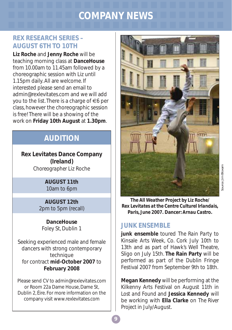## **COMPANY NEWS**

## **REX RESEARCH SERIES – AUGUST 6TH TO 10TH**

**Liz Roche** and **Jenny Roche** will be teaching morning class at **DanceHouse** from 10.00am to 11.45am followed by a choreographic session with Liz until 1.15pm daily. All are welcome. If interested please send an email to admin@rexlevitates.com and we will add you to the list. There is a charge of  $\in$ 6 per class, however the choreographic session is free! There will be a showing of the work on **Friday 10th August** at **1.30pm**.

## **AUDITION**

**Rex Levitates Dance Company (Ireland)** *Choreographer* Liz Roche

#### **AUGUST 11th** 10am to 6pm

**AUGUST 12th** 2pm to 5pm (recall)

**DanceHouse** Foley St, Dublin 1

Seeking experienced male and female dancers with strong contemporary technique for contract **mid-October 2007** to **February 2008**

Please send CV to admin@rexlevitates.com or Room 22a Dame House, Dame St, Dublin 2, Éire. For more information on the company visit www.rexlevitates.com



*The All Weather Project by Liz Roche/ Rex Levitates at the Centre Culturel Irlandais, Paris, June 2007.* **Dancer:** *Arnau Castro***.**

## **JUNK ENSEMBLE**

**junk ensemble** toured *The Rain Party* to Kinsale Arts Week, Co. Cork July 10th to 13th and as part of Hawk's Well Theatre, Sligo on July 15th. **The Rain Party** will be performed as part of the Dublin Fringe Festival 2007 from September 9th to 18th.

**Megan Kennedy** will be performing at the Kilkenny Arts Festival on August 11th in *Lost and Found* and **Jessica Kennedy** will be working with **Ella Clarke** on *The River Project* in July/August.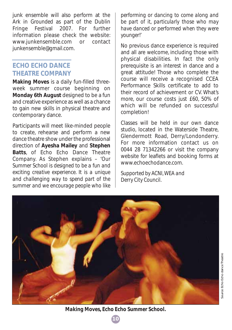junk ensemble will also perform at the Ark in *Grounded* as part of the Dublin Fringe Festival 2007. For further information please check the website: www.junkensemble.com or contact junkensemble@gmail.com.

## **ECHO ECHO DANCE THEATRE COMPANY**

**Making Moves** is a daily fun-filled threeweek summer course beginning on **Monday 6th August** designed to be a fun and creative experience as well as a chance to gain new skills in physical theatre and contemporary dance.

Participants will meet like-minded people to create, rehearse and perform a new dance theatre show under the professional direction of **Ayesha Mailey** and **Stephen Batts**, of Echo Echo Dance Theatre Company. As Stephen explains – '*Our Summer School is designed to be a fun and exciting creative experience. It is a unique and challenging way to spend part of the summer and we encourage people who like*

*performing or dancing to come along and be part of it, particularly those who may have danced or performed when they were younger!'*

No previous dance experience is required and all are welcome, including those with physical disabilities. In fact the only prerequisite is an interest in dance and a great attitude! Those who complete the course will receive a recognised CCEA Performance Skills certificate to add to their record of achievement or CV. What's more, our course costs just £60, 50% of which will be refunded on successful completion!

Classes will be held in our own dance studio, located in the Waterside Theatre, Glendermott Road, Derry/Londonderry. For more information contact us on 0044 28 71342266 or visit the company website for leaflets and booking forms at www.echoechodance.com.

*Supported by ACNI, WEA and Derry City Council.*

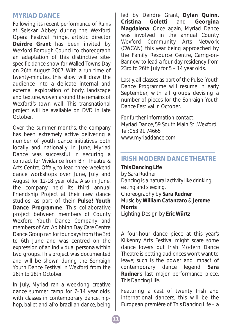## **MYRIAD DANCE**

Following its recent performance of *Ruins* at Selskar Abbey during the Wexford Opera Festival Fringe, artistic director **Deirdre Grant** has been invited by Wexford Borough Council to choreograph an adaptation of this distinctive sitespecific dance show for Walled Towns Day on 26th August 2007. With a run time of twenty-minutes, this show will draw the audience into a delicate internal and external exploration of body, landscape and texture, woven around the remains of Wexford's town wall. This transnational project will be available on DVD in late October.

Over the summer months, the company has been extremely active delivering a number of youth dance initiatives both locally and nationally. In June, Myriad Dance was successful in securing a contract for *Vividance* from Birr Theatre & Arts Centre, Offaly, to lead three weekend dance workshops over June, July and August for 12-18 year olds. Also in June, the company held its third annual Friendship Project at their new dance studios, as part of their **Pulse! Youth Dance Programme**. This collaborative project between members of County Wexford Youth Dance Company and members of Ard Aoibhinn Day Care Centre Dance Group ran for four days from the 3rd to 6th June and was centred on the expression of an individual persona within two groups. This project was documented and will be shown during the Sonraigh Youth Dance Festival in Wexford from the 26th to 28th October.

In July, Myriad ran a weeklong creative dance summer camp for 7–14 year olds, with classes in contemporary dance, hiphop, ballet and afro-brazilian dance, being led by Deirdre Grant, **Dylan Quinn**, **Cristina Goletti** and **Georgina Magdalena**. Once again, Myriad Dance was involved in the annual County<br>Wexford Community Arts Network Wexford Community Arts (CWCAN), this year being approached by the Family Resource Centre, Carrig-on-Bannow to lead a four-day residency from 23rd to 26th July for  $5 - 14$  year olds.

Lastly, all classes as part of the Pulse! Youth Dance Programme will resume in early September, with all groups devising a number of pieces for the Sonraigh Youth Dance Festival in October.

For further information contact: Myriad Dance, 59 South Main St., Wexford Tel: 053 91 74665 www.myriaddance.com

## **IRISH MODERN DANCE THEATRE**

*This Dancing Life* by Sara Rudner *Dancing is a natural activity like drinking, eating and sleeping.* Choreography by *Sara Rudner* Music by *William Catanzaro & Jerome Morris* Lighting Design by *Eric Würtz*

A four-hour dance piece at this year's Kilkenny Arts Festival might scare some dance lovers but Irish Modern Dance Theatre is betting audiences won't want to leave; such is the power and impact of contemporary dance legend **Sara** contemporary dance legend **Sara Rudner**'s last major performance piece, *This Dancing Life*.

Featuring a cast of twenty Irish and international dancers, this will be the European première of *This Dancing Life* – a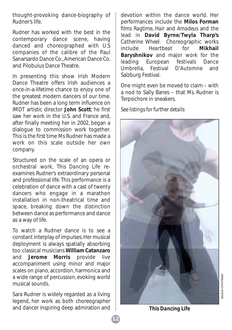thought-provoking dance-biography of Rudner's life.

Rudner has worked with the best in the contemporary dance scene, having danced and choreographed with U.S companies of the calibre of the Paul Sanarsardo Dance Co., American Dance Co. and Pilobulus Dance Theatre.

In presenting this show Irish Modern Dance Theatre offers Irish audiences a once-in-a-lifetime chance to enjoy one of the greatest modern dancers of our time. Rudner has been a long term influence on IMDT artistic director **John Scott**; he first saw her work in the U.S. and France and after finally meeting her in 2002, began a dialogue to commission work together. This is the first time Ms Rudner has made a work on this scale outside her own company.

Structured on the scale of an opera or orchestral work, *This Dancing Life* reexamines Rudner's extraordinary personal and professional life. This performance is a celebration of dance with a cast of twenty dancers who engage in a marathon installation in non-theatrical time and space, breaking down the distinction between dance as performance and dance as a way of life.

To watch a Rudner dance is to see a constant interplay of impulses. Her musical deployment is always spatially absorbing too: classical musicians **William Catanzaro** and **Jerome Morris** provide live accompaniment using minor and major scales on piano, accordion, harmonica and a wide range of percussion, evoking world musical sounds.

Sara Rudner is widely regarded as a living legend, her work as both choreographer and dancer inspiring deep admiration and

devotion within the dance world. Her performances include the **Milos Forman** films *Ragtime*, *Hair* and *Amadeus* and the lead in **David Byrne**/**Twyla Tharp's** *Catherine Wheel*. Choreographic works **include** *Heartheat* for **Baryshnikov** and major work for the leading European festivals Dance Umbrella, Festival D'Automne and Salzburg Festival.

One might even be moved to claim – with a nod to Sally Banes – that Ms. Rudner is Terpsichore in sneakers.

*See listings for further details*



*This Dancing Life*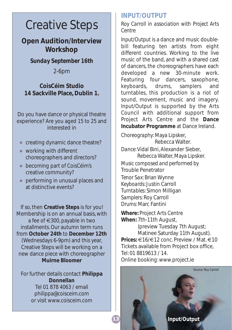## Creative Steps

**Open Audition/Interview Workshop**

*Sunday September 16th*

2-6pm

**CoisCéim Studio 14 Sackville Place, Dublin 1.**

Do you have dance or physical theatre experience? Are you aged 15 to 25 and interested in

- creating dynamic dance theatre?
- $\bullet$  working with different choreographers and directors?
- becoming part of CoisCéim's creative community?
- performing in unusual places and at distinctive events?

If so, then **Creative Steps** is for you! Membership is on an annual basis, with a fee of €300, payable in two installments. Our autumn term runs from **October 24th** to **December 12th** (Wednesdays 6-9pm) and this year, Creative Steps will be working on a new dance piece with choreographer **Muirne Bloomer**

For further details contact **Philippa Donnellan** Tel 01 878 4063 / email philippa@coisceim.com or visit www.coisceim.com

## **INPUT/OUTPUT**

*Roy Carroll in association with Project Arts Centre*

*Input/Output* is a dance and music doublebill featuring ten artists from eight different countries. Working to the live music of the band, and with a shared cast of dancers, the choreographers have each developed a new 30-minute work. Featuring four dancers, saxophone, keyboards, drums, samplers and turntables, this production is a riot of sound, movement, music and imagery. *Input/Output* is supported by the Arts Council with additional support from Project Arts Centre and the **Dance Incubator Programme** at Dance Ireland.

*Choreography*: Maya Lipsker, Rebecca Walter.

*Dance*: Vidal Bini, Alexander Sieber, Rebecca Walter, Maya Lipsker. *Music composed and performed by* Trouble Penetrator *Tenor Sax*: Brian Wynne *Keyboards*: Justin Carroll *Turntables*: Simon Milligan *Samplers*: Roy Carroll *Drums*: Marc Fantini

**Where:** Project Arts Centre **When:** 7th-11th August, (preview Tuesday 7th August; Matinee Saturday 11th August). **Prices:** €16/€12 conc. Preview / Mat. €10 Tickets available from Project box office, Tel: 01 8819613 / 14. Online booking: www.project.ie

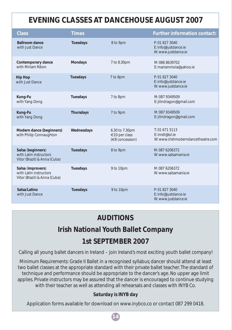## **EVENING CLASSES AT DANCEHOUSE AUGUST 2007**

| <b>Class</b>                                                                | <b>Times</b>     |                                                    | <b>Further information contact:</b>                                  |
|-----------------------------------------------------------------------------|------------------|----------------------------------------------------|----------------------------------------------------------------------|
| <b>Ballroom dance</b><br>with Just Dance                                    | <b>Tuesdays</b>  | 8 to 9pm                                           | P: 01 827 3040<br>E: info@justdance.ie<br>W: www.justdance.ie        |
| Contemporary dance<br>with Miriam Ribon                                     | <b>Mondays</b>   | 7 to 8.30pm                                        | M: 086 8639702<br>E: mariammola@yahoo.ie                             |
| <b>Hip Hop</b><br>with Just Dance                                           | <b>Tuesdays</b>  | 7 to 8pm                                           | P: 01 827 3040<br>E: info@justdance.ie<br>W: www.justdance.ie        |
| Kung-Fu<br>with Yang Dong                                                   | <b>Tuesdays</b>  | 7 to 8pm                                           | M: 087 9349509<br>E: jilindragon@gmail.com                           |
| Kung-Fu<br>with Yang Dong                                                   | <b>Thursdays</b> | 7 to 9pm                                           | M: 087 9349509<br>E: jilindragon@gmail.com                           |
| Modern dance (beginners)<br>with Philip Connaughton                         | Wednesdays       | 6.30 to 7.30pm<br>€10 per class<br>(€8 concession) | T: 016715113<br>E: imdt@iol.ie<br>W: www.irishmoderndancetheatre.com |
| Salsa (beginners)<br>with Latin instructors<br>Vitor (Brazil) & Anna (Cuba) | <b>Tuesdays</b>  | 8 to 9pm                                           | M: 087 6206372<br>W: www.salsamania.ie                               |
| Salsa (improvers)<br>with Latin instructors<br>Vitor (Brazil) & Anna (Cuba) | <b>Tuesdays</b>  | 9 to 10pm                                          | M: 087 6206372<br>W: www.salsamania.ie                               |
| Salsa/Latino<br>with Just Dance                                             | <b>Tuesdays</b>  | 9 to 10pm                                          | P: 01 827 3040<br>E: info@justdance.ie<br>W: www.justdance.ie        |

## **AUDITIONS**

## **Irish National Youth Ballet Company**

## **1st SEPTEMBER 2007**

Calling all young ballet dancers in Ireland – join Ireland's most exciting youth ballet company!

*Minimum Requirements:* Grade II Ballet in a recognised syllabus; dancer should attend at least two ballet classes at the appropriate standard with their private ballet teacher. The standard of technique and performance should be appropriate to the dancer's age. No upper age limit applies. Private instructors may be assured that the dancer is encouraged to continue studying with their teacher as well as attending all rehearsals and classes with INYB Co.

### *Saturday is INYB day*

Application forms available for download on www.inybco.co or contact 087 299 0418.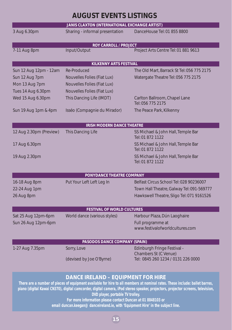## **AUGUST EVENTS LISTINGS**

| JANIS CLAXTON (INTERNATIONAL EXCHANGE ARTIST)                                                                                                                                                                                                                                                                                                                                                                                                                                                     |                                    |                                                             |  |  |  |  |
|---------------------------------------------------------------------------------------------------------------------------------------------------------------------------------------------------------------------------------------------------------------------------------------------------------------------------------------------------------------------------------------------------------------------------------------------------------------------------------------------------|------------------------------------|-------------------------------------------------------------|--|--|--|--|
| 3 Aug 6.30pm                                                                                                                                                                                                                                                                                                                                                                                                                                                                                      | Sharing - informal presentation    | DanceHouse Tel: 01 855 8800                                 |  |  |  |  |
| <b>ROY CARROLL / PROJECT</b>                                                                                                                                                                                                                                                                                                                                                                                                                                                                      |                                    |                                                             |  |  |  |  |
| 7-11 Aug 8pm                                                                                                                                                                                                                                                                                                                                                                                                                                                                                      | Input/Output                       | Project Arts Centre Tel: 01 881 9613                        |  |  |  |  |
|                                                                                                                                                                                                                                                                                                                                                                                                                                                                                                   | <b>KILKENNY ARTS FESTIVAL</b>      |                                                             |  |  |  |  |
| Sun 12 Aug 12pm - 12am                                                                                                                                                                                                                                                                                                                                                                                                                                                                            | <b>Re-Produced</b>                 | The Old Mart, Barrack St Tel: 056 775 2175                  |  |  |  |  |
| Sun 12 Aug 7pm                                                                                                                                                                                                                                                                                                                                                                                                                                                                                    | <b>Nouvelles Folies (Fiat Lux)</b> | Watergate Theatre Tel: 056 775 2175                         |  |  |  |  |
| Mon 13 Aug 7pm                                                                                                                                                                                                                                                                                                                                                                                                                                                                                    | <b>Nouvelles Folies (Fiat Lux)</b> |                                                             |  |  |  |  |
| Tues 14 Aug 6.30pm                                                                                                                                                                                                                                                                                                                                                                                                                                                                                | Nouvelles Folies (Fiat Lux)        |                                                             |  |  |  |  |
| Wed 15 Aug 6.30pm                                                                                                                                                                                                                                                                                                                                                                                                                                                                                 | This Dancing Life (IMDT)           | Carlton Ballroom, Chapel Lane<br>Tel: 056 775 2175          |  |  |  |  |
| Sun 19 Aug 1pm & 4pm                                                                                                                                                                                                                                                                                                                                                                                                                                                                              | Isséo (Compagnie du Mirador)       | The Peace Park, Kilkenny                                    |  |  |  |  |
| <b>IRISH MODERN DANCE THEATRE</b>                                                                                                                                                                                                                                                                                                                                                                                                                                                                 |                                    |                                                             |  |  |  |  |
| 12 Aug 2.30pm (Preview)                                                                                                                                                                                                                                                                                                                                                                                                                                                                           | <b>This Dancing Life</b>           | SS Michael & John Hall, Temple Bar<br>Tel: 01 872 1122      |  |  |  |  |
| 17 Aug 6.30pm                                                                                                                                                                                                                                                                                                                                                                                                                                                                                     |                                    | SS Michael & John Hall, Temple Bar<br>Tel: 01 872 1122      |  |  |  |  |
| 19 Aug 2.30pm                                                                                                                                                                                                                                                                                                                                                                                                                                                                                     |                                    | SS Michael & John Hall, Temple Bar<br>Tel: 01 872 1122      |  |  |  |  |
|                                                                                                                                                                                                                                                                                                                                                                                                                                                                                                   | PONYDANCE THEATRE COMPANY          |                                                             |  |  |  |  |
| 16-18 Aug 8pm                                                                                                                                                                                                                                                                                                                                                                                                                                                                                     | Put Your Left Left Leg In          | Belfast Circus School Tel: 028 90236007                     |  |  |  |  |
| 22-24 Aug 1pm                                                                                                                                                                                                                                                                                                                                                                                                                                                                                     |                                    | Town Hall Theatre, Galway Tel: 091-569777                   |  |  |  |  |
| 26 Aug 8pm                                                                                                                                                                                                                                                                                                                                                                                                                                                                                        |                                    | Hawkswell Theatre, Sligo Tel: 071 9161526                   |  |  |  |  |
|                                                                                                                                                                                                                                                                                                                                                                                                                                                                                                   | <b>FESTIVAL OF WORLD CULTURES</b>  |                                                             |  |  |  |  |
| Sat 25 Aug 12pm-6pm                                                                                                                                                                                                                                                                                                                                                                                                                                                                               | World dance (various styles)       | Harbour Plaza, Dún Laoghaire                                |  |  |  |  |
| Sun 26 Aug 12pm-6pm                                                                                                                                                                                                                                                                                                                                                                                                                                                                               |                                    | Full programme at                                           |  |  |  |  |
|                                                                                                                                                                                                                                                                                                                                                                                                                                                                                                   |                                    | www.festivalofworldcultures.com                             |  |  |  |  |
| <b>PASODOS DANCE COMPANY (SPAIN)</b>                                                                                                                                                                                                                                                                                                                                                                                                                                                              |                                    |                                                             |  |  |  |  |
| 1-27 Aug 7.35pm                                                                                                                                                                                                                                                                                                                                                                                                                                                                                   | Sorry, Love                        | Edinburgh Fringe Festival -                                 |  |  |  |  |
|                                                                                                                                                                                                                                                                                                                                                                                                                                                                                                   | (devised by Joe O'Byrne)           | Chambers St (C Venue)<br>Tel: 0845 260 1234 / 0131 226 0000 |  |  |  |  |
| <b>DANCE IRELAND - EQUIPMENT FOR HIRE</b><br>There are a number of pieces of equipment available for hire to all members at nominal rates. These include: ballet barres,<br>piano (digital Kawai CN370), digital camcorder, digital camera, iPod stereo speaker, projectors, projector screens, television,<br>DVD player, portable TV trolley.<br>For more information please contact Duncan at 01 8848103 or<br>email duncan.keegan@danceireland.ie, with 'Equipment Hire' in the subject line. |                                    |                                                             |  |  |  |  |